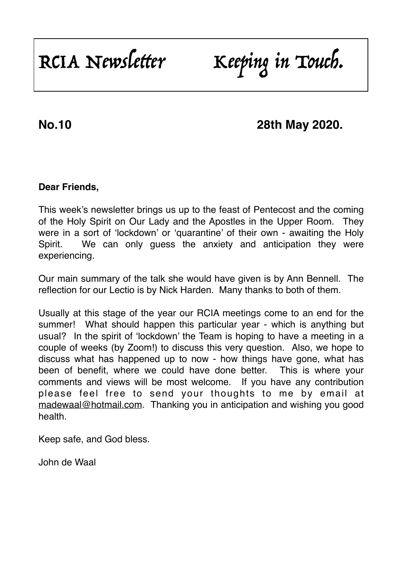# RCIA Newsletter Keeping in Touch.

## **No.10 28th May 2020.**

#### **Dear Friends,**

This week's newsletter brings us up to the feast of Pentecost and the coming of the Holy Spirit on Our Lady and the Apostles in the Upper Room. They were in a sort of 'lockdown' or 'quarantine' of their own - awaiting the Holy Spirit. We can only guess the anxiety and anticipation they were experiencing.

Our main summary of the talk she would have given is by Ann Bennell. The reflection for our Lectio is by Nick Harden. Many thanks to both of them.

Usually at this stage of the year our RCIA meetings come to an end for the summer! What should happen this particular year - which is anything but usual? In the spirit of 'lockdown' the Team is hoping to have a meeting in a couple of weeks (by Zoom!) to discuss this very question. Also, we hope to discuss what has happened up to now - how things have gone, what has been of benefit, where we could have done better. This is where your comments and views will be most welcome. If you have any contribution please feel free to send your thoughts to me by email at [madewaal@hotmail.com](mailto:madewaal@hotmail.com). Thanking you in anticipation and wishing you good health.

Keep safe, and God bless.

John de Waal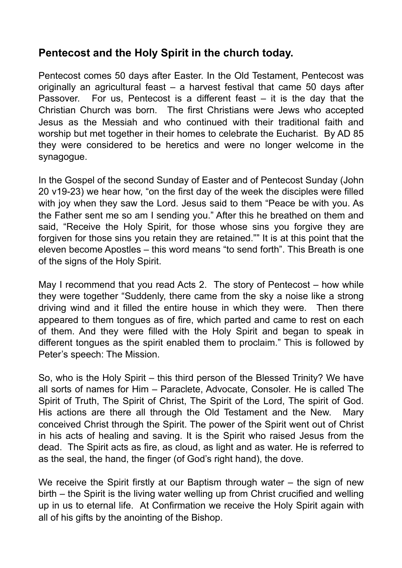### **Pentecost and the Holy Spirit in the church today.**

Pentecost comes 50 days after Easter. In the Old Testament, Pentecost was originally an agricultural feast – a harvest festival that came 50 days after Passover. For us, Pentecost is a different feast – it is the day that the Christian Church was born. The first Christians were Jews who accepted Jesus as the Messiah and who continued with their traditional faith and worship but met together in their homes to celebrate the Eucharist. By AD 85 they were considered to be heretics and were no longer welcome in the synagogue.

In the Gospel of the second Sunday of Easter and of Pentecost Sunday (John 20 v19-23) we hear how, "on the first day of the week the disciples were filled with joy when they saw the Lord. Jesus said to them "Peace be with you. As the Father sent me so am I sending you." After this he breathed on them and said, "Receive the Holy Spirit, for those whose sins you forgive they are forgiven for those sins you retain they are retained."" It is at this point that the eleven become Apostles – this word means "to send forth". This Breath is one of the signs of the Holy Spirit.

May I recommend that you read Acts 2. The story of Pentecost – how while they were together "Suddenly, there came from the sky a noise like a strong driving wind and it filled the entire house in which they were. Then there appeared to them tongues as of fire, which parted and came to rest on each of them. And they were filled with the Holy Spirit and began to speak in different tongues as the spirit enabled them to proclaim." This is followed by Peter's speech: The Mission.

So, who is the Holy Spirit – this third person of the Blessed Trinity? We have all sorts of names for Him – Paraclete, Advocate, Consoler. He is called The Spirit of Truth, The Spirit of Christ, The Spirit of the Lord, The spirit of God. His actions are there all through the Old Testament and the New. Mary conceived Christ through the Spirit. The power of the Spirit went out of Christ in his acts of healing and saving. It is the Spirit who raised Jesus from the dead. The Spirit acts as fire, as cloud, as light and as water. He is referred to as the seal, the hand, the finger (of God's right hand), the dove.

We receive the Spirit firstly at our Baptism through water – the sign of new birth – the Spirit is the living water welling up from Christ crucified and welling up in us to eternal life. At Confirmation we receive the Holy Spirit again with all of his gifts by the anointing of the Bishop.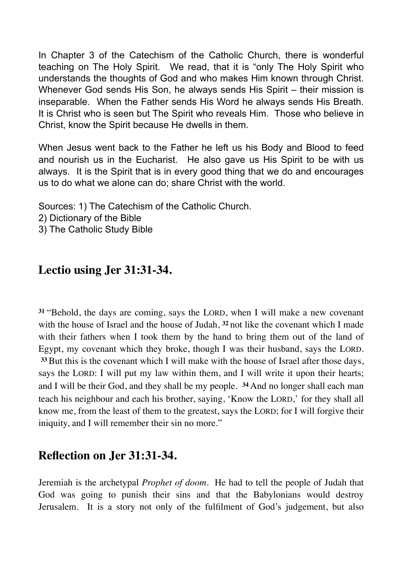In Chapter 3 of the Catechism of the Catholic Church, there is wonderful teaching on The Holy Spirit. We read, that it is "only The Holy Spirit who understands the thoughts of God and who makes Him known through Christ. Whenever God sends His Son, he always sends His Spirit – their mission is inseparable. When the Father sends His Word he always sends His Breath. It is Christ who is seen but The Spirit who reveals Him. Those who believe in Christ, know the Spirit because He dwells in them.

When Jesus went back to the Father he left us his Body and Blood to feed and nourish us in the Eucharist. He also gave us His Spirit to be with us always. It is the Spirit that is in every good thing that we do and encourages us to do what we alone can do; share Christ with the world.

Sources: 1) The Catechism of the Catholic Church.

- 2) Dictionary of the Bible
- 3) The Catholic Study Bible

### **Lectio using Jer 31:31-34.**

**<sup>31</sup>**"Behold, the days are coming, says the LORD, when I will make a new covenant with the house of Israel and the house of Judah, **<sup>32</sup>** not like the covenant which I made with their fathers when I took them by the hand to bring them out of the land of Egypt, my covenant which they broke, though I was their husband, says the LORD. **<sup>33</sup>** But this is the covenant which I will make with the house of Israel after those days, says the LORD: I will put my law within them, and I will write it upon their hearts; and I will be their God, and they shall be my people. **<sup>34</sup>** And no longer shall each man teach his neighbour and each his brother, saying, 'Know the LORD,' for they shall all know me, from the least of them to the greatest, says the LORD; for I will forgive their iniquity, and I will remember their sin no more."

### **Reflection on Jer 31:31-34.**

Jeremiah is the archetypal *Prophet of doom.* He had to tell the people of Judah that God was going to punish their sins and that the Babylonians would destroy Jerusalem. It is a story not only of the fulfilment of God's judgement, but also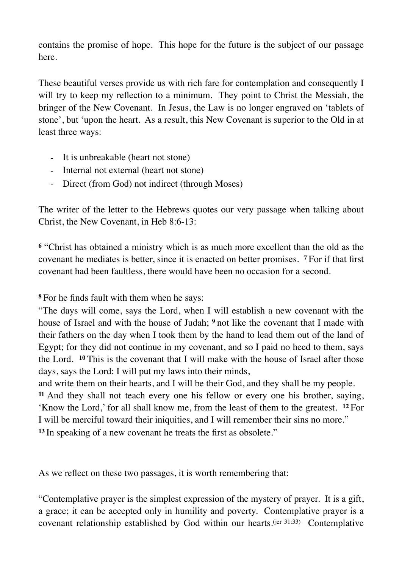contains the promise of hope. This hope for the future is the subject of our passage here.

These beautiful verses provide us with rich fare for contemplation and consequently I will try to keep my reflection to a minimum. They point to Christ the Messiah, the bringer of the New Covenant. In Jesus, the Law is no longer engraved on 'tablets of stone', but 'upon the heart. As a result, this New Covenant is superior to the Old in at least three ways:

- It is unbreakable (heart not stone)
- Internal not external (heart not stone)
- Direct (from God) not indirect (through Moses)

The writer of the letter to the Hebrews quotes our very passage when talking about Christ, the New Covenant, in Heb 8:6-13:

**<sup>6</sup>** "Christ has obtained a ministry which is as much more excellent than the old as the covenant he mediates is better, since it is enacted on better promises. **<sup>7</sup>** For if that first covenant had been faultless, there would have been no occasion for a second.

**<sup>8</sup>** For he finds fault with them when he says:

"The days will come, says the Lord, when I will establish a new covenant with the house of Israel and with the house of Judah; **<sup>9</sup>** not like the covenant that I made with their fathers on the day when I took them by the hand to lead them out of the land of Egypt; for they did not continue in my covenant, and so I paid no heed to them, says the Lord. **<sup>10</sup>** This is the covenant that I will make with the house of Israel after those days, says the Lord: I will put my laws into their minds,

and write them on their hearts, and I will be their God, and they shall be my people. **<sup>11</sup>** And they shall not teach every one his fellow or every one his brother, saying, 'Know the Lord,' for all shall know me, from the least of them to the greatest. **<sup>12</sup>** For I will be merciful toward their iniquities, and I will remember their sins no more." **<sup>13</sup>** In speaking of a new covenant he treats the first as obsolete."

As we reflect on these two passages, it is worth remembering that:

"Contemplative prayer is the simplest expression of the mystery of prayer. It is a gift, a grace; it can be accepted only in humility and poverty. Contemplative prayer is a covenant relationship established by God within our hearts.(jer 31:33) Contemplative